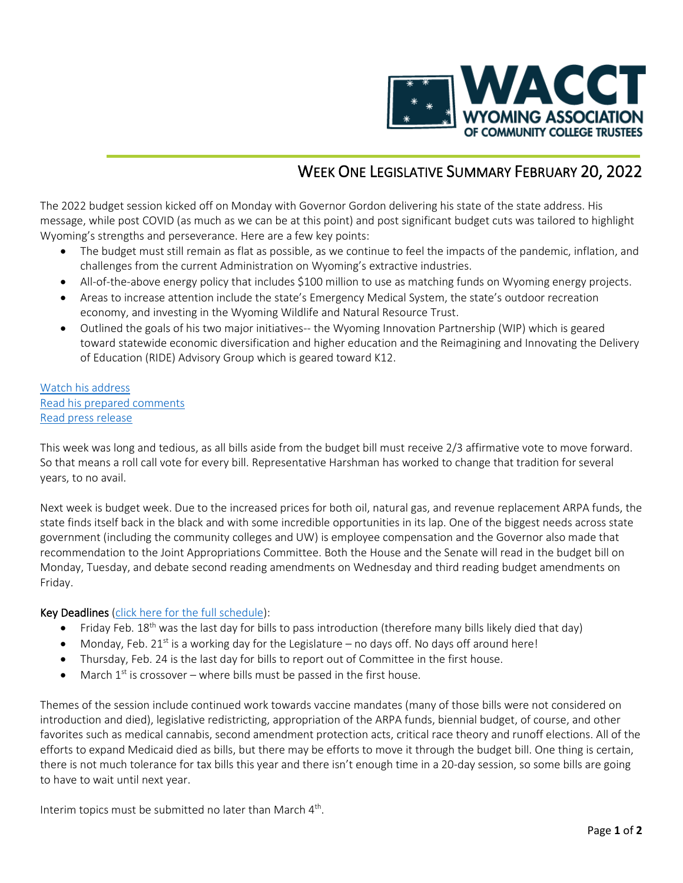

# WEEK ONE LEGISLATIVE SUMMARY FEBRUARY 20, 2022

The 2022 budget session kicked off on Monday with Governor Gordon delivering his state of the state address. His message, while post COVID (as much as we can be at this point) and post significant budget cuts was tailored to highlight Wyoming's strengths and perseverance. Here are a few key points:

- The budget must still remain as flat as possible, as we continue to feel the impacts of the pandemic, inflation, and challenges from the current Administration on Wyoming's extractive industries.
- All-of-the-above energy policy that includes \$100 million to use as matching funds on Wyoming energy projects.
- Areas to increase attention include the state's Emergency Medical System, the state's outdoor recreation economy, and investing in the Wyoming Wildlife and Natural Resource Trust.
- Outlined the goals of his two major initiatives-- the Wyoming Innovation Partnership (WIP) which is geared toward statewide economic diversification and higher education and the Reimagining and Innovating the Delivery of Education (RIDE) Advisory Group which is geared toward K12.

### [Watch his address](https://www.youtube.com/watch?v=yt7iKn2O7zg) [Read his prepared comments](https://drive.google.com/file/d/1o7lYYlrkorMy20Tz7lHsWd46Wwqbv90b/view) [Read press release](https://governor.wyo.gov/media/news-releases/2022-news-releases/governor-calls-for-wyoming-to-seize-new-opportunities-in-state-of-the-state)

This week was long and tedious, as all bills aside from the budget bill must receive 2/3 affirmative vote to move forward. So that means a roll call vote for every bill. Representative Harshman has worked to change that tradition for several years, to no avail.

Next week is budget week. Due to the increased prices for both oil, natural gas, and revenue replacement ARPA funds, the state finds itself back in the black and with some incredible opportunities in its lap. One of the biggest needs across state government (including the community colleges and UW) is employee compensation and the Governor also made that recommendation to the Joint Appropriations Committee. Both the House and the Senate will read in the budget bill on Monday, Tuesday, and debate second reading amendments on Wednesday and third reading budget amendments on Friday.

#### Key Deadlines [\(click here for the full schedule\)](https://wyoleg.gov/2022/Schedule.pdf):

- Friday Feb. 18<sup>th</sup> was the last day for bills to pass introduction (therefore many bills likely died that day)
- Monday, Feb.  $21^{st}$  is a working day for the Legislature no days off. No days off around here!
- Thursday, Feb. 24 is the last day for bills to report out of Committee in the first house.
- March  $1<sup>st</sup>$  is crossover where bills must be passed in the first house.

Themes of the session include continued work towards vaccine mandates (many of those bills were not considered on introduction and died), legislative redistricting, appropriation of the ARPA funds, biennial budget, of course, and other favorites such as medical cannabis, second amendment protection acts, critical race theory and runoff elections. All of the efforts to expand Medicaid died as bills, but there may be efforts to move it through the budget bill. One thing is certain, there is not much tolerance for tax bills this year and there isn't enough time in a 20-day session, so some bills are going to have to wait until next year.

Interim topics must be submitted no later than March 4<sup>th</sup>.